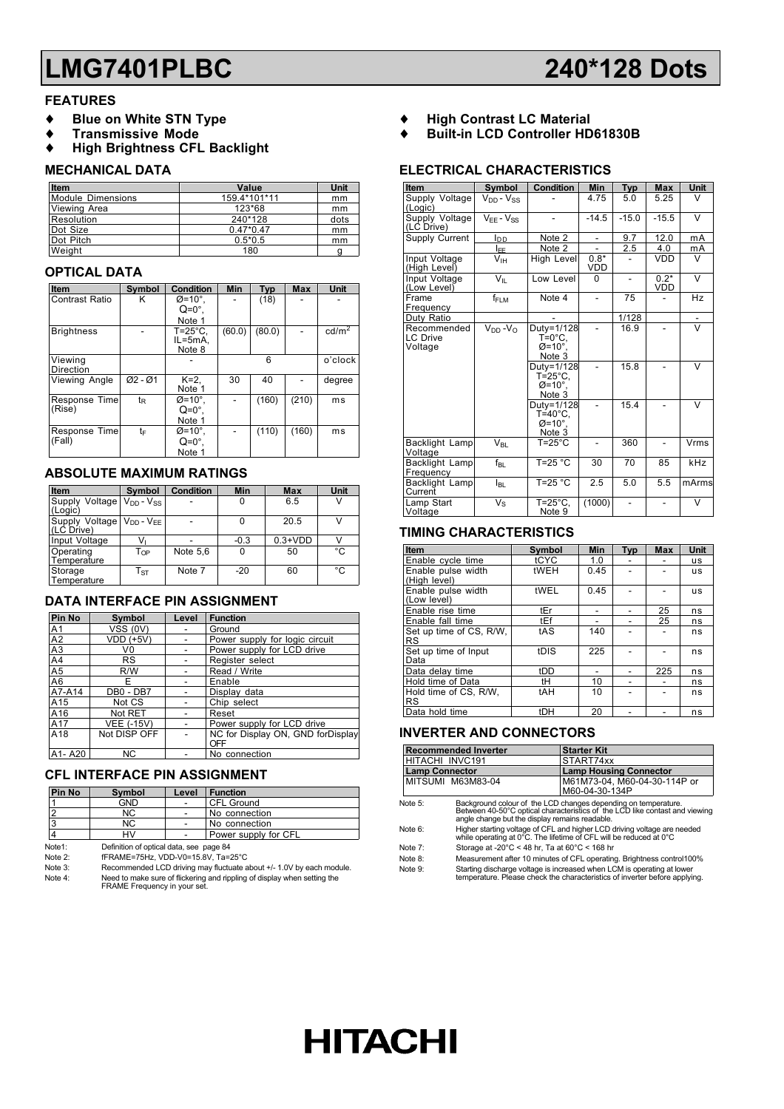## **LMG7401PLBC 240\*128 Dots**

#### **FEATURES**

- **Blue on White STN Type**
- ♦ **Transmissive Mode**
- **High Brightness CFL Backlight**

#### **MECHANICAL DATA**

| Item              | Value        | Unit |
|-------------------|--------------|------|
| Module Dimensions | 159.4*101*11 | mm   |
| Viewing Area      | 123*68       | mm   |
| Resolution        | 240*128      | dots |
| Dot Size          | $0.47*0.47$  | mm   |
| Dot Pitch         | $0.5*0.5$    | mm   |
| Weight            | 180          |      |

#### **OPTICAL DATA**

| Item                  | Symbol         | <b>Condition</b>    | Min    | <b>Typ</b> | <b>Max</b> | Unit              |
|-----------------------|----------------|---------------------|--------|------------|------------|-------------------|
| <b>Contrast Ratio</b> | κ              | $\varnothing$ =10°. |        | (18)       |            |                   |
|                       |                | $Q=0^\circ$ .       |        |            |            |                   |
|                       |                | Note 1              |        |            |            |                   |
| <b>Brightness</b>     |                | T=25°C.             | (60.0) | (80.0)     |            | cd/m <sup>2</sup> |
|                       |                | IL=5mA.             |        |            |            |                   |
|                       |                | Note 8              |        |            |            |                   |
| Viewing               |                |                     |        | 6          |            | o'clock           |
| <b>Direction</b>      |                |                     |        |            |            |                   |
| Viewing Angle         | $Ø2 - Ø1$      | $K=2$ .             | 30     | 40         |            | degree            |
|                       |                | Note 1              |        |            |            |                   |
| Response Time         | t <sub>R</sub> | $\varnothing$ =10°. |        | (160)      | (210)      | ms                |
| (Rise)                |                | $Q=0^\circ$ .       |        |            |            |                   |
|                       |                | Note 1              |        |            |            |                   |
| Response Time         | tF             | $\varnothing$ =10°. |        | (110)      | (160)      | ms                |
| (Fall)                |                | $Q=0^\circ$ .       |        |            |            |                   |
|                       |                | Note 1              |        |            |            |                   |

#### **ABSOLUTE MAXIMUM RATINGS**

| Item                                                             | Symbol                   | Condition | Min    | <b>Max</b> | Unit |
|------------------------------------------------------------------|--------------------------|-----------|--------|------------|------|
| Supply Voltage<br>(Logic)                                        | $V_{DD} - V_{SS}$        |           | 0      | 6.5        | ٧    |
| Supply Voltage   V <sub>DD</sub> - V <sub>EE</sub><br>(LC Drive) |                          |           | 0      | 20.5       | V    |
| Input Voltage                                                    | v                        |           | $-0.3$ | $0.3+VDD$  |      |
| Operating<br>Temperature                                         | T <sub>OP</sub>          | Note 5,6  | 0      | 50         | °C   |
| Storage<br>Temperature                                           | $\mathsf{T}_{\text{ST}}$ | Note 7    | $-20$  | 60         | °C   |

#### **DATA INTERFACE PIN ASSIGNMENT**

| Pin No                          | Symbol            | Level | <b>Function</b>                          |
|---------------------------------|-------------------|-------|------------------------------------------|
| A <sub>1</sub>                  | <b>VSS (0V)</b>   |       | Ground                                   |
| A2                              | <b>VDD (+5V)</b>  |       | Power supply for logic circuit           |
| A <sub>3</sub>                  | V0                |       | Power supply for LCD drive               |
| A4                              | <b>RS</b>         |       | Register select                          |
| A <sub>5</sub>                  | R/W               |       | Read / Write                             |
| A <sub>6</sub>                  | F                 |       | Enable                                   |
| A7-A14                          | DB0 - DB7         |       | Display data                             |
| A15                             | Not CS            |       | Chip select                              |
| A16                             | Not RET           |       | Reset                                    |
| A17                             | <b>VEE (-15V)</b> |       | Power supply for LCD drive               |
| A18                             | Not DISP OFF      |       | NC for Display ON, GND forDisplay<br>OFF |
| A <sub>1</sub> -A <sub>20</sub> | ΝC                |       | No connection                            |

### **CFL INTERFACE PIN ASSIGNMENT**

| <b>Pin No</b> | Symbol                                  | Level                | <b>Function</b>   |  |  |
|---------------|-----------------------------------------|----------------------|-------------------|--|--|
|               | GND                                     |                      | <b>CFL Ground</b> |  |  |
|               | NC.                                     |                      | No connection     |  |  |
|               | NC.                                     |                      | No connection     |  |  |
|               | HV                                      | Power supply for CFL |                   |  |  |
| Note1:        | Definition of optical data, see page 84 |                      |                   |  |  |
| Note 2:       | fFRAME=75Hz, VDD-V0=15.8V, Ta=25°C      |                      |                   |  |  |
|               |                                         |                      |                   |  |  |

Note 3: Recommended LCD driving may fluctuate about +/- 1.0V by each module. Note 4: Need to make sure of flickering and rippling of display when setting the FRAME Frequency in your set.

- ♦ **High Contrast LC Material**
- ♦ **Built-in LCD Controller HD61830B**

#### **ELECTRICAL CHARACTERISTICS**

| Item                               | Symbol                | <b>Condition</b>                                              | Min           | <b>Typ</b> | <b>Max</b>    | <b>Unit</b> |
|------------------------------------|-----------------------|---------------------------------------------------------------|---------------|------------|---------------|-------------|
| Supply Voltage<br>(Logic)          | $V_{DD} - V_{SS}$     |                                                               | 4.75          | 5.0        | 5.25          | V           |
| Supply Voltage<br>(LC Drive)       | $V_{FF} - V_{SS}$     |                                                               | $-14.5$       | $-15.0$    | $-15.5$       | $\vee$      |
| Supply Current                     | loo                   | Note 2                                                        | ۰             | 9.7        | 12.0          | mA          |
|                                    | I <sub>EE</sub>       | Note 2                                                        |               | 2.5        | 4.0           | mA          |
| Input Voltage<br>(High Level)      | V <sub>IH</sub>       | High Level                                                    | $0.8*$<br>VDD |            | <b>VDD</b>    | V           |
| Input Voltage<br>(Low Level)       | $V_{\parallel}$       | Low Level                                                     | 0             |            | $0.2*$<br>VDD | $\vee$      |
| Frame<br>Frequency                 | f <sub>FLM</sub>      | Note 4                                                        |               | 75         |               | Hz          |
| Duty Ratio                         |                       |                                                               |               | 1/128      |               |             |
| Recommended<br>LC Drive<br>Voltage | $V_{DD} - V_{\Omega}$ | Duty=1/128<br>$T=0^{\circ}C$ .<br>$Ø=10^\circ$ ,<br>Note 3    |               | 16.9       |               | $\vee$      |
|                                    |                       | Duty=1/128<br>$T = 25^{\circ}$ C,<br>$Ø=10^\circ$<br>Note 3   |               | 15.8       |               | V           |
|                                    |                       | Duty=1/128<br>$T = 40^{\circ}$ C,<br>$Ø=10^\circ$ ,<br>Note 3 |               | 15.4       |               | $\vee$      |
| Backlight Lamp<br>Voltage          | $V_{BL}$              | $T = 25^{\circ}$ C                                            |               | 360        |               | Vrms        |
| Backlight Lamp<br>Frequency        | $f_{BL}$              | $T=25 °C$                                                     | 30            | 70         | 85            | kHz         |
| Backlight Lamp<br>Current          | <b>I</b> BL           | $T=25 °C$                                                     | 2.5           | 5.0        | 5.5           | mArms       |
| Lamp Start<br>Voltage              | $V_{\rm S}$           | $T = 25^{\circ}C$<br>Note 9                                   | (1000)        |            |               | v           |

#### **TIMING CHARACTERISTICS**

| Item                                 | Symbol | Min  | <b>Typ</b> | <b>Max</b> | Unit      |
|--------------------------------------|--------|------|------------|------------|-----------|
| Enable cycle time                    | tCYC   | 1.0  |            |            | us        |
| Enable pulse width<br>(High level)   | tWEH   | 0.45 |            |            | <b>US</b> |
| Enable pulse width<br>(Low level)    | tWEL   | 0.45 |            |            | <b>US</b> |
| Enable rise time                     | tEr    |      |            | 25         | ns        |
| Enable fall time                     | tEf    |      |            | 25         | ns        |
| Set up time of CS, R/W,<br><b>RS</b> | tAS    | 140  |            |            | ns        |
| Set up time of Input<br>Data         | tDIS   | 225  |            |            | ns        |
| Data delay time                      | tDD    |      |            | 225        | ns        |
| Hold time of Data                    | tH     | 10   |            |            | ns        |
| Hold time of CS, R/W,<br><b>RS</b>   | tAH    | 10   |            |            | ns        |
| Data hold time                       | tDH    | 20   |            |            | ns        |

#### **INVERTER AND CONNECTORS**

| <b>Recommended Inverter</b> | <b>Starter Kit</b>           |
|-----------------------------|------------------------------|
| HITACHI INVC191             | START74xx                    |
| <b>Lamp Connector</b>       | Lamp Housing Connector       |
| MITSUMI M63M83-04           | M61M73-04. M60-04-30-114P or |
|                             | M60-04-30-134P               |

Note 5: Background colour of the LCD changes depending on temperature. Between 40-50°C optical characteristics of the LCD like contast and viewing angle change but the display remains readable. Note 6: Higher starting voltage of CFL and higher LCD driving voltage are needed while operating at 0°C. The lifetime of CFL will be reduced at 0°C

Note 7: Storage at -20°C < 48 hr, Ta at 60°C < 168 hr

Note 8: Measurement after 10 minutes of CFL operating. Brightness control100%<br>Note 9: Starting discharge voltage is increased when LCM is operating at lower Note 9: Starting discharge voltage is increased when LCM is operating at lower temperature. Please check the characteristics of inverter before applying.

# **HITACHI**